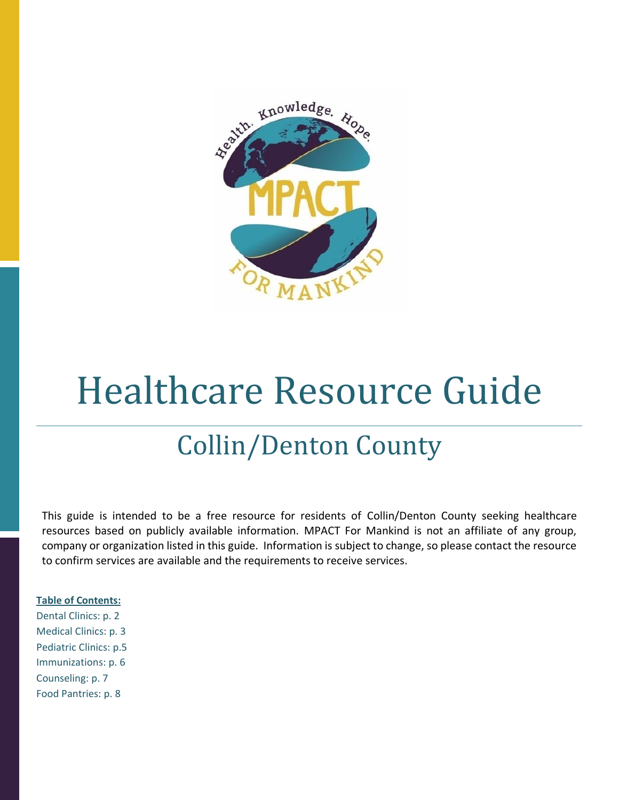

# Healthcare Resource Guide

# Collin/Denton County

This guide is intended to be a free resource for residents of Collin/Denton County seeking healthcare resources based on publicly available information. MPACT For Mankind is not an affiliate of any group, company or organization listed in this guide. Information is subject to change, so please contact the resource to confirm services are available and the requirements to receive services.

#### **Table of Contents:**

Dental Clinics: p. 2 Medical Clinics: p. 3 Pediatric Clinics: p.5 Immunizations: p. 6 Counseling: p. 7 Food Pantries: p. 8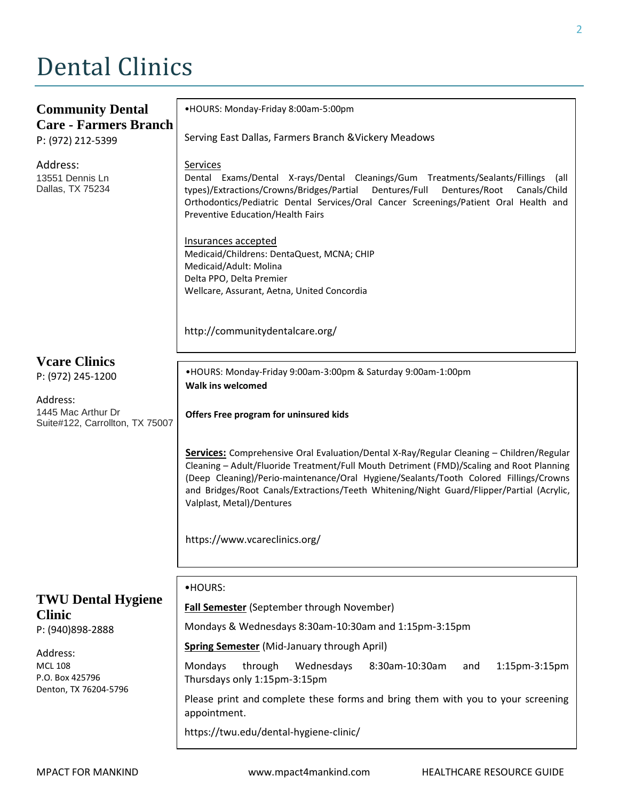# Dental Clinics

| <b>Community Dental</b><br><b>Care - Farmers Branch</b>                                                                                  | .HOURS: Monday-Friday 8:00am-5:00pm<br>Serving East Dallas, Farmers Branch & Vickery Meadows                                                                                                                                                                                                                                                                                                                                                                                                                                                                                   |
|------------------------------------------------------------------------------------------------------------------------------------------|--------------------------------------------------------------------------------------------------------------------------------------------------------------------------------------------------------------------------------------------------------------------------------------------------------------------------------------------------------------------------------------------------------------------------------------------------------------------------------------------------------------------------------------------------------------------------------|
| P: (972) 212-5399<br>Address:<br>13551 Dennis Ln<br>Dallas, TX 75234                                                                     | Services<br>Dental Exams/Dental X-rays/Dental Cleanings/Gum Treatments/Sealants/Fillings<br>(all<br>types)/Extractions/Crowns/Bridges/Partial<br>Dentures/Full<br>Dentures/Root<br>Canals/Child<br>Orthodontics/Pediatric Dental Services/Oral Cancer Screenings/Patient Oral Health and<br>Preventive Education/Health Fairs<br>Insurances accepted<br>Medicaid/Childrens: DentaQuest, MCNA; CHIP<br>Medicaid/Adult: Molina<br>Delta PPO, Delta Premier<br>Wellcare, Assurant, Aetna, United Concordia                                                                        |
|                                                                                                                                          | http://communitydentalcare.org/                                                                                                                                                                                                                                                                                                                                                                                                                                                                                                                                                |
| <b>Veare Clinics</b><br>P: (972) 245-1200<br>Address:<br>1445 Mac Arthur Dr<br>Suite#122, Carrollton, TX 75007                           | .HOURS: Monday-Friday 9:00am-3:00pm & Saturday 9:00am-1:00pm<br><b>Walk ins welcomed</b><br>Offers Free program for uninsured kids<br>Services: Comprehensive Oral Evaluation/Dental X-Ray/Regular Cleaning - Children/Regular<br>Cleaning - Adult/Fluoride Treatment/Full Mouth Detriment (FMD)/Scaling and Root Planning<br>(Deep Cleaning)/Perio-maintenance/Oral Hygiene/Sealants/Tooth Colored Fillings/Crowns<br>and Bridges/Root Canals/Extractions/Teeth Whitening/Night Guard/Flipper/Partial (Acrylic,<br>Valplast, Metal)/Dentures<br>https://www.vcareclinics.org/ |
| <b>TWU Dental Hygiene</b><br><b>Clinic</b><br>P: (940)898-2888<br>Address:<br><b>MCL 108</b><br>P.O. Box 425796<br>Denton, TX 76204-5796 | •HOURS:<br>Fall Semester (September through November)<br>Mondays & Wednesdays 8:30am-10:30am and 1:15pm-3:15pm<br><b>Spring Semester</b> (Mid-January through April)<br>Mondays<br>through<br>Wednesdays<br>8:30am-10:30am<br>1:15pm-3:15pm<br>and<br>Thursdays only 1:15pm-3:15pm<br>Please print and complete these forms and bring them with you to your screening<br>appointment.<br>https://twu.edu/dental-hygiene-clinic/                                                                                                                                                |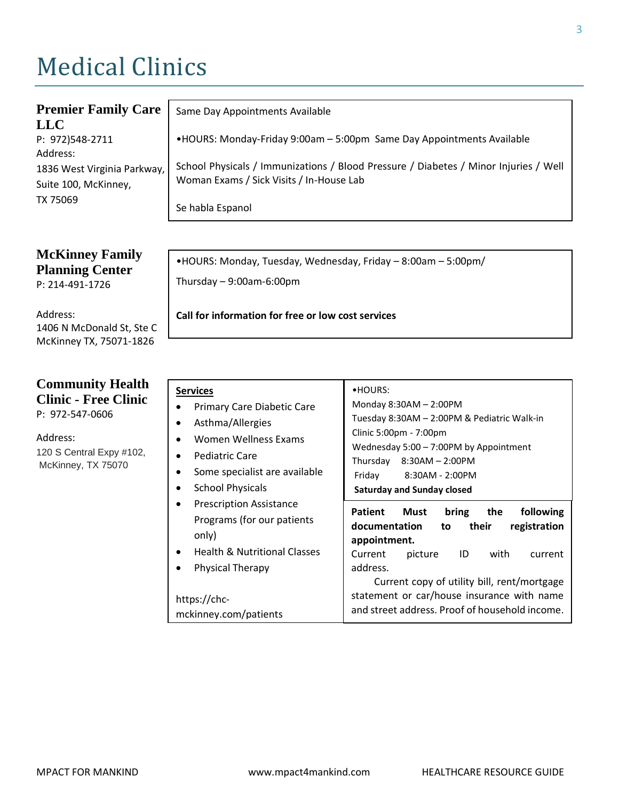# Medical Clinics

| <b>Premier Family Care</b><br><b>LLC</b>                        | Same Day Appointments Available                                                                                                  |
|-----------------------------------------------------------------|----------------------------------------------------------------------------------------------------------------------------------|
| P: 972)548-2711                                                 | •HOURS: Monday-Friday 9:00am - 5:00pm Same Day Appointments Available                                                            |
| Address:<br>1836 West Virginia Parkway,<br>Suite 100, McKinney, | School Physicals / Immunizations / Blood Pressure / Diabetes / Minor Injuries / Well<br>Woman Exams / Sick Visits / In-House Lab |
| TX 75069                                                        | Se habla Espanol                                                                                                                 |

**McKinney Family Planning Center** P: 214-491-1726

Address: 1406 N McDonald St, Ste C McKinney TX, 75071-1826

#### **Community Health Clinic - Free Clinic**  P: 972-547-0606

Address: 120 S Central Expy #102, McKinney, TX 75070

•HOURS: Monday, Tuesday, Wednesday, Friday – 8:00am – 5:00pm/ Thursday – 9:00am-6:00pm

#### **Call for information for free or low cost services**

| <b>Services</b><br>Primary Care Diabetic Care<br>Asthma/Allergies<br>Women Wellness Exams<br><b>Pediatric Care</b><br>Some specialist are available<br><b>School Physicals</b><br><b>Prescription Assistance</b><br>Programs (for our patients<br>only)<br><b>Health &amp; Nutritional Classes</b> | •HOURS:<br>Monday 8:30AM - 2:00PM<br>Tuesday 8:30AM - 2:00PM & Pediatric Walk-in<br>Clinic 5:00pm - 7:00pm<br>Wednesday $5:00 - 7:00$ PM by Appointment<br>Thursday 8:30AM - 2:00PM<br>Friday<br>8:30AM - 2:00PM<br><b>Saturday and Sunday closed</b><br><b>Patient</b> Must<br>bring<br>the<br>following<br>documentation<br>registration<br>their<br>to to<br>appointment.<br><b>ID</b><br>with<br>Current<br>picture<br>current |
|----------------------------------------------------------------------------------------------------------------------------------------------------------------------------------------------------------------------------------------------------------------------------------------------------|------------------------------------------------------------------------------------------------------------------------------------------------------------------------------------------------------------------------------------------------------------------------------------------------------------------------------------------------------------------------------------------------------------------------------------|
| <b>Physical Therapy</b><br>https://chc-                                                                                                                                                                                                                                                            | address.<br>Current copy of utility bill, rent/mortgage<br>statement or car/house insurance with name                                                                                                                                                                                                                                                                                                                              |
| mckinney.com/patients                                                                                                                                                                                                                                                                              | and street address. Proof of household income.                                                                                                                                                                                                                                                                                                                                                                                     |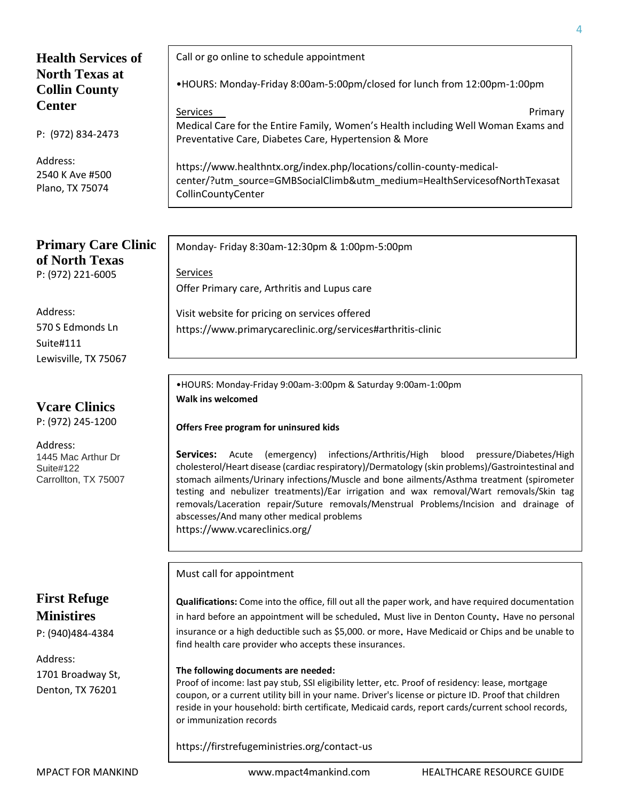### **Health Services of North Texas at Collin County Center**

P: (972) 834-2473

Address: 2540 K Ave #500 Plano, TX 75074

#### **Primary Care Clinic of North Texas** P: (972) 221-6005

Address: 570 S Edmonds Ln Suite#111 Lewisville, TX 75067

### **Vcare Clinics**

P: (972) 245-1200

Address: 1445 Mac Arthur Dr Suite#122 Carrollton, TX 75007

# **First Refuge Ministires**

P: (940)484-4384

Address: 1701 Broadway St, Denton, TX 76201

Call or go online to schedule appointment

•HOURS: Monday-Friday 8:00am-5:00pm/closed for lunch from 12:00pm-1:00pm

Services extended to the service of the services of the service of the services of the services of the service Medical Care for the Entire Family, Women's Health including Well Woman Exams and Preventative Care, Diabetes Care, Hypertension & More

https://www.healthntx.org/index.php/locations/collin-county-medicalcenter/?utm\_source=GMBSocialClimb&utm\_medium=HealthServicesofNorthTexasat CollinCountyCenter

Monday- Friday 8:30am-12:30pm & 1:00pm-5:00pm

Services Offer Primary care, Arthritis and Lupus care

Visit website for pricing on services offered https://www.primarycareclinic.org/services#arthritis-clinic

•HOURS: Monday-Friday 9:00am-3:00pm & Saturday 9:00am-1:00pm **Walk ins welcomed** 

#### **Offers Free program for uninsured kids**

**Services:** Acute (emergency) infections/Arthritis/High blood pressure/Diabetes/High cholesterol/Heart disease (cardiac respiratory)/Dermatology (skin problems)/Gastrointestinal and stomach ailments/Urinary infections/Muscle and bone ailments/Asthma treatment (spirometer testing and nebulizer treatments)/Ear irrigation and wax removal/Wart removals/Skin tag removals/Laceration repair/Suture removals/Menstrual Problems/Incision and drainage of abscesses/And many other medical problems https://www.vcareclinics.org/

#### Must call for appointment

**Qualifications:** Come into the office, fill out all the paper work, and have required documentation in hard before an appointment will be scheduled. Must live in Denton County. Have no personal insurance or a high deductible such as \$5,000. or more. Have Medicaid or Chips and be unable to find health care provider who accepts these insurances.

#### **The following documents are needed:**

Proof of income: last pay stub, SSI eligibility letter, etc. Proof of residency: lease, mortgage coupon, or a current utility bill in your name. Driver's license or picture ID. Proof that children reside in your household: birth certificate, Medicaid cards, report cards/current school records, or immunization records

https://firstrefugeministries.org/contact-us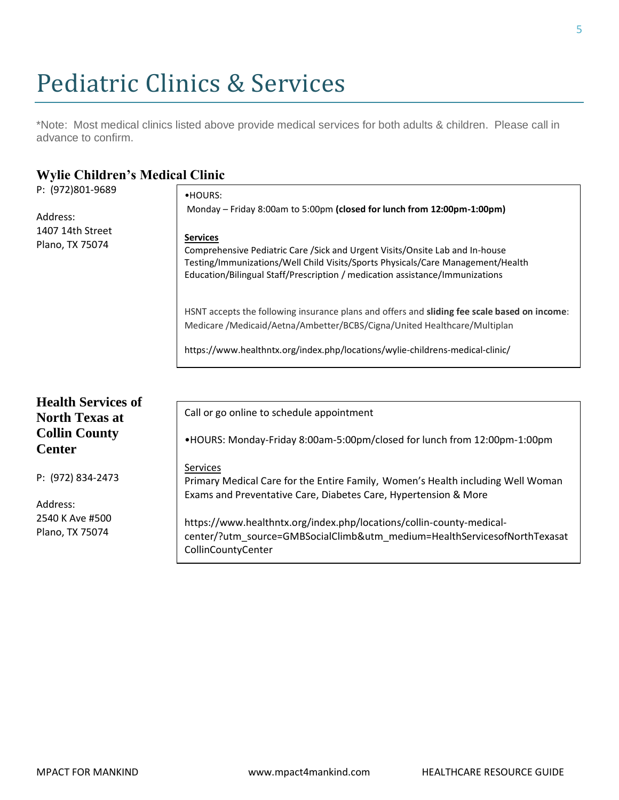# Pediatric Clinics & Services

\*Note: Most medical clinics listed above provide medical services for both adults & children. Please call in advance to confirm.

### **Wylie Children's Medical Clinic**

| P: (972)801-9689                      | •HOURS:                                                                                                                                           |
|---------------------------------------|---------------------------------------------------------------------------------------------------------------------------------------------------|
|                                       | Monday - Friday 8:00am to 5:00pm (closed for lunch from 12:00pm-1:00pm)                                                                           |
| Address:                              |                                                                                                                                                   |
| 1407 14th Street                      | <b>Services</b>                                                                                                                                   |
| Plano, TX 75074                       | Comprehensive Pediatric Care / Sick and Urgent Visits/Onsite Lab and In-house                                                                     |
|                                       | Testing/Immunizations/Well Child Visits/Sports Physicals/Care Management/Health                                                                   |
|                                       | Education/Bilingual Staff/Prescription / medication assistance/Immunizations                                                                      |
|                                       | HSNT accepts the following insurance plans and offers and sliding fee scale based on income:                                                      |
|                                       | Medicare /Medicaid/Aetna/Ambetter/BCBS/Cigna/United Healthcare/Multiplan                                                                          |
|                                       | https://www.healthntx.org/index.php/locations/wylie-childrens-medical-clinic/                                                                     |
|                                       |                                                                                                                                                   |
| <b>Health Services of</b>             |                                                                                                                                                   |
| <b>North Texas at</b>                 | Call or go online to schedule appointment                                                                                                         |
| <b>Collin County</b><br><b>Center</b> | •HOURS: Monday-Friday 8:00am-5:00pm/closed for lunch from 12:00pm-1:00pm                                                                          |
|                                       | Services                                                                                                                                          |
| P: (972) 834-2473                     | Primary Medical Care for the Entire Family, Women's Health including Well Woman                                                                   |
|                                       | Exams and Preventative Care, Diabetes Care, Hypertension & More                                                                                   |
| Address:                              |                                                                                                                                                   |
| 2540 K Ave #500<br>Plano, TX 75074    | https://www.healthntx.org/index.php/locations/collin-county-medical-<br>center/?utm_source=GMBSocialClimb&utm_medium=HealthServicesofNorthTexasat |
|                                       | CollinCountyCenter                                                                                                                                |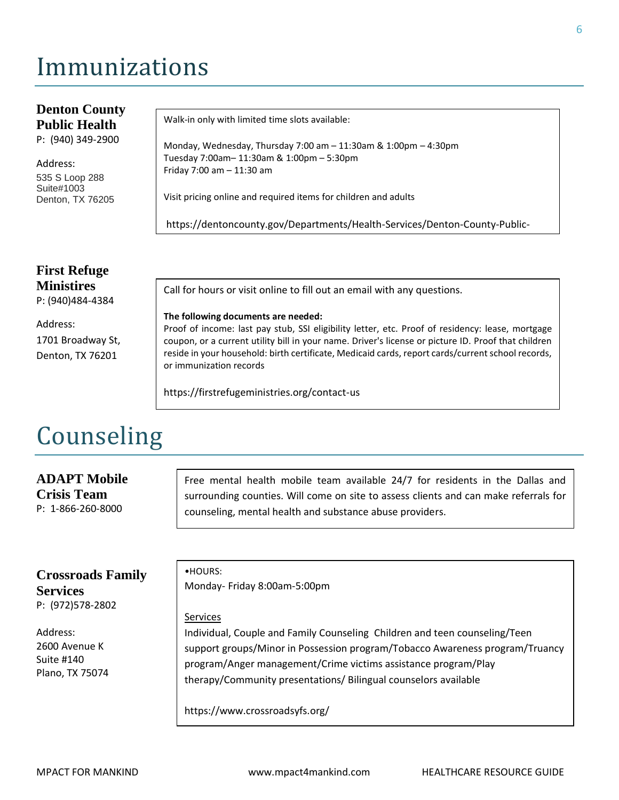# Immunizations

#### **Denton County Public Health**  P: (940) 349-2900 Address: 535 S Loop 288 Suite#1003 Denton, TX 76205 Walk-in only with limited time slots available: Monday, Wednesday, Thursday 7:00 am – 11:30am & 1:00pm – 4:30pm Tuesday 7:00am– 11:30am & 1:00pm – 5:30pm Friday 7:00 am – 11:30 am Visit pricing online and required items for children and adults https://dentoncounty.gov/Departments/Health-Services/Denton-County-Public-Health/Immunizations

# **First Refuge Ministires**

P: (940)484-4384

Address: 1701 Broadway St, Denton, TX 76201

Call for hours or visit online to fill out an email with any questions.

#### **The following documents are needed:**

Proof of income: last pay stub, SSI eligibility letter, etc. Proof of residency: lease, mortgage coupon, or a current utility bill in your name. Driver's license or picture ID. Proof that children reside in your household: birth certificate, Medicaid cards, report cards/current school records, or immunization records

https://firstrefugeministries.org/contact-us

# Counseling

#### **ADAPT Mobile Crisis Team** P: 1-866-260-8000

Free mental health mobile team available 24/7 for residents in the Dallas and surrounding counties. Will come on site to assess clients and can make referrals for counseling, mental health and substance abuse providers.

#### **Crossroads Family Services** P: (972)578-2802

Address: 2600 Avenue K Suite #140

Plano, TX 75074

•HOURS: Monday- Friday 8:00am-5:00pm

#### Services

Individual, Couple and Family Counseling Children and teen counseling/Teen support groups/Minor in Possession program/Tobacco Awareness program/Truancy program/Anger management/Crime victims assistance program/Play therapy/Community presentations/ Bilingual counselors available

https://www.crossroadsyfs.org/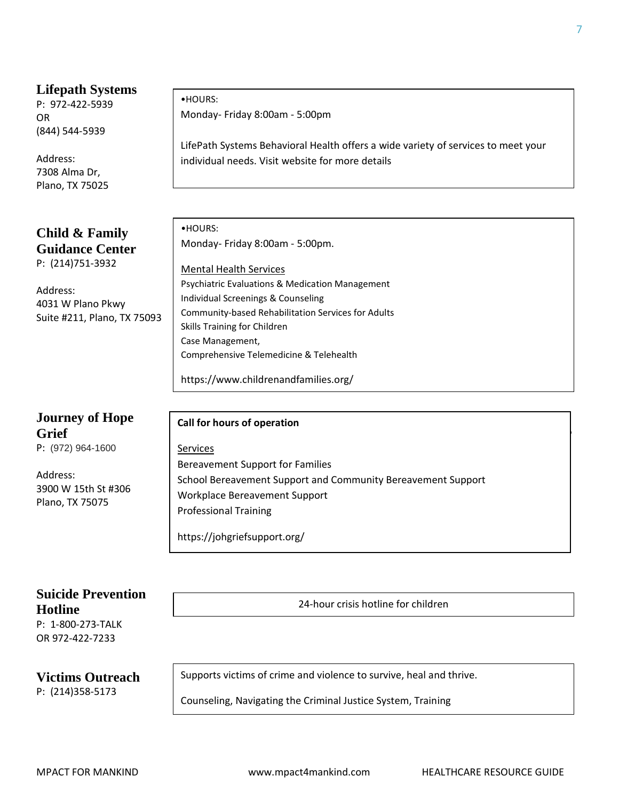#### **Lifepath Systems**

P: 972-422-5939 OR (844) 544-5939

Address: 7308 Alma Dr, Plano, TX 75025

**Child & Family Guidance Center** P: (214)751-3932

Address: 4031 W Plano Pkwy Suite #211, Plano, TX 75093

# **Journey of Hope Grief** Support Center Center Center Center Center Center Center Center Center Center Center Center Center Cente

P: (972) 964-1600

Address: 3900 W 15th St #306 Plano, TX 75075

### •HOURS: Monday- Friday 8:00am - 5:00pm

LifePath Systems Behavioral Health offers a wide variety of services to meet your individual needs. Visit website for more details

| $\bullet$ HOURS:                                           |  |
|------------------------------------------------------------|--|
| Monday- Friday 8:00am - 5:00pm.                            |  |
|                                                            |  |
| <b>Mental Health Services</b>                              |  |
| <b>Psychiatric Evaluations &amp; Medication Management</b> |  |
| Individual Screenings & Counseling                         |  |
| Community-based Rehabilitation Services for Adults         |  |
| Skills Training for Children                               |  |
| Case Management,                                           |  |
| Comprehensive Telemedicine & Telehealth                    |  |
|                                                            |  |

https://www.lifepathsystems.org/welcome-behavior-health

https://www.childrenandfamilies.org/

#### **Call for hours of operation**

**Services** Bereavement Support for Families School Bereavement Support and Community Bereavement Support Workplace Bereavement Support Professional Training

<https://johgriefsupport.org/>

### **Suicide Prevention Hotline**

P: 1-800-273-TALK OR 972-422-7233

#### **Victims Outreach**

P: (214)358-5173

Supports victims of crime and violence to survive, heal and thrive.

24-hour crisis hotline for children

Counseling, Navigating the Criminal Justice System, Training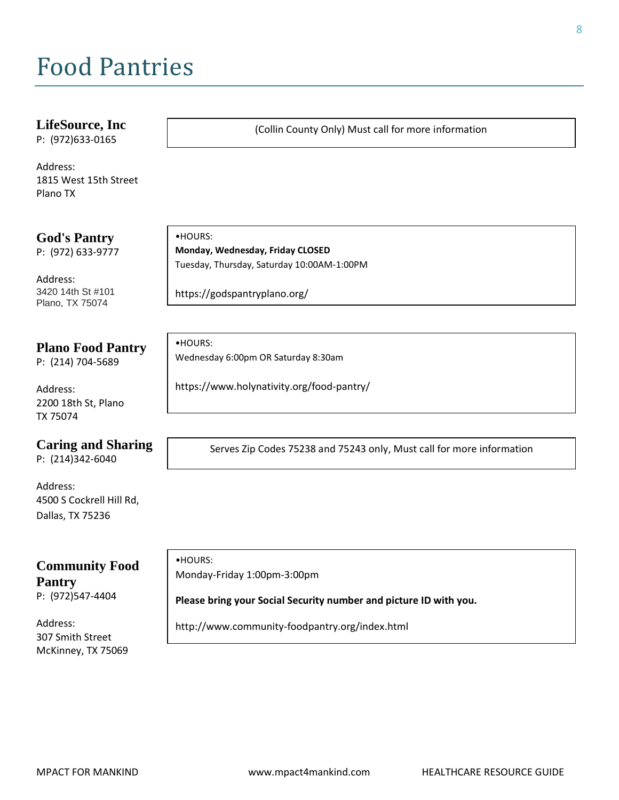# Food Pantries

#### **LifeSource, Inc**

P: (972)633-0165

Address: 1815 West 15th Street Plano TX

**God's Pantry**

P: (972) 633-9777

Address: 3420 14th St #101 Plano, TX 75074

#### **Plano Food Pantry**

P: (214) 704-5689

Address: 2200 18th St, Plano TX 75074

#### **Caring and Sharing**

P: (214)342-6040

Address: 4500 S Cockrell Hill Rd, Dallas, TX 75236

# **Community Food Pantry**

P: (972)547-4404

Address: 307 Smith Street McKinney, TX 75069

•HOURS: **Monday, Wednesday, Friday CLOSED**  Tuesday, Thursday, Saturday 10:00AM-1:00PM

https://godspantryplano.org/

•HOURS: Wednesday 6:00pm OR Saturday 8:30am

https://www.holynativity.org/food-pantry/

Serves Zip Codes 75238 and 75243 only, Must call for more information

(Collin County Only) Must call for more information

•HOURS: Monday-Friday 1:00pm-3:00pm

#### **Please bring your Social Security number and picture ID with you.**

http://www.community-foodpantry.org/index.html